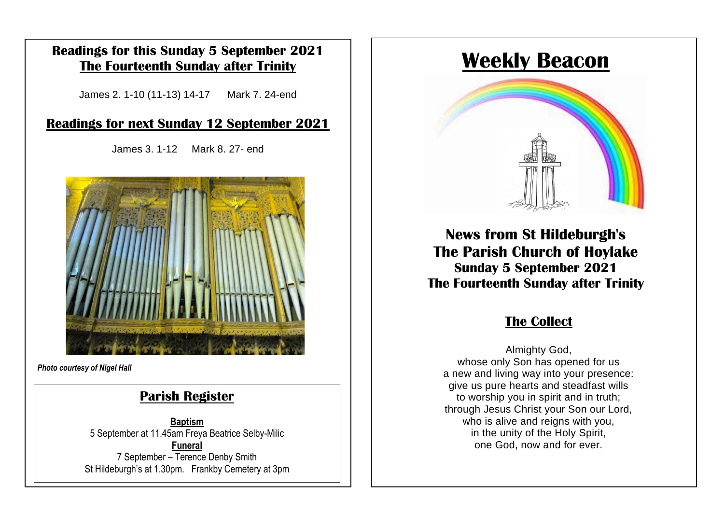#### **Readings for this Sunday 5 September 2021 The Fourteenth Sunday after Trinity**

James 2. 1-10 (11-13) 14-17 Mark 7. 24-end

#### **Readings for next Sunday 12 September 2021**

James 3. 1-12 Mark 8. 27- end



*Photo courtesy of Nigel Hall*

### **Parish Register**

**Baptism** 5 September at 11.45am Freya Beatrice Selby-Milic **Funeral** 7 September – Terence Denby Smith St Hildeburgh's at 1.30pm. Frankby Cemetery at 3pm

# **Weekly Beacon**



**News from St Hildeburgh's The Parish Church of Hoylake Sunday 5 September 2021 The Fourteenth Sunday after Trinity**

# **The Collect**

Almighty God, whose only Son has opened for us a new and living way into your presence: give us pure hearts and steadfast wills to worship you in spirit and in truth; through Jesus Christ your Son our Lord, who is alive and reigns with you, in the unity of the Holy Spirit, one God, now and for ever.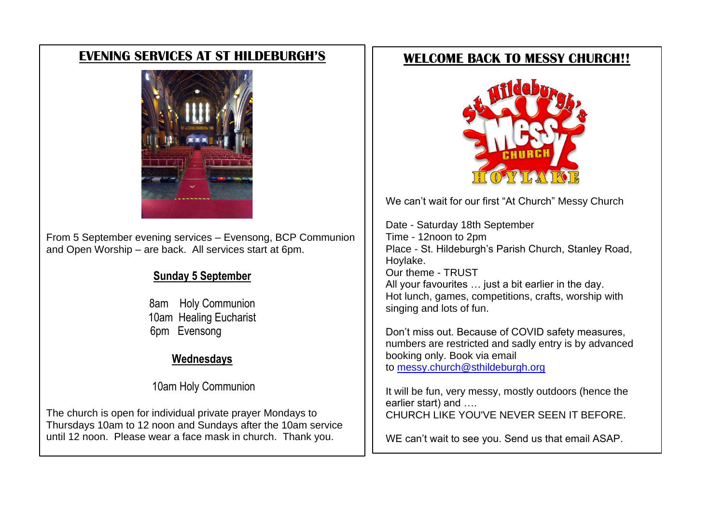### **EVENING SERVICES AT ST HILDEBURGH'S**



From 5 September evening services – Evensong, BCP Communion and Open Worship – are back. All services start at 6pm.

#### **Sunday 5 September**

8am Holy Communion 10am Healing Eucharist 6pm Evensong

#### **Wednesdays**

10am Holy Communion

The church is open for individual private prayer Mondays to Thursdays 10am to 12 noon and Sundays after the 10am service until 12 noon. Please wear a face mask in church. Thank you.

## **WELCOME BACK TO MESSY CHURCH!!**



We can't wait for our first "At Church" Messy Church

Date - Saturday 18th September Time - 12noon to 2pm Place - St. Hildeburgh's Parish Church, Stanley Road, Hoylake. Our theme - TRUST All your favourites … just a bit earlier in the day. Hot lunch, games, competitions, crafts, worship with singing and lots of fun.

Don't miss out. Because of COVID safety measures, numbers are restricted and sadly entry is by advanced booking only. Book via email to [messy.church@sthildeburgh.org](mailto:messy.church@sthildeburgh.org)

It will be fun, very messy, mostly outdoors (hence the earlier start) and …. CHURCH LIKE YOU'VE NEVER SEEN IT BEFORE.

WE can't wait to see you. Send us that email ASAP.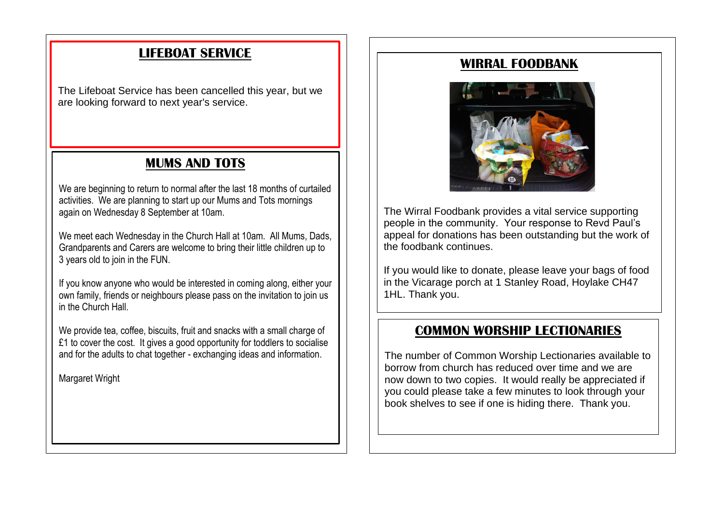# **LIFEBOAT SERVICE**

The Lifeboat Service has been cancelled this year, but we are looking forward to next year's service.

# **MUMS AND TOTS**

We are beginning to return to normal after the last 18 months of curtailed activities. We are planning to start up our Mums and Tots mornings again on Wednesday 8 September at 10am.

We meet each Wednesday in the Church Hall at 10am. All Mums, Dads, Grandparents and Carers are welcome to bring their little children up to 3 years old to join in the FUN.

If you know anyone who would be interested in coming along, either your own family, friends or neighbours please pass on the invitation to join us in the Church Hall.

We provide tea, coffee, biscuits, fruit and snacks with a small charge of £1 to cover the cost. It gives a good opportunity for toddlers to socialise and for the adults to chat together - exchanging ideas and information.

Margaret Wright

#### **WIRRAL FOODBANK**



The Wirral Foodbank provides a vital service supporting people in the community. Your response to Revd Paul's appeal for donations has been outstanding but the work of the foodbank continues.

If you would like to donate, please leave your bags of food in the Vicarage porch at 1 Stanley Road, Hoylake CH47 1HL. Thank you.

#### **COMMON WORSHIP LECTIONARIES**

The number of Common Worship Lectionaries available to borrow from church has reduced over time and we are now down to two copies. It would really be appreciated if you could please take a few minutes to look through your book shelves to see if one is hiding there. Thank you.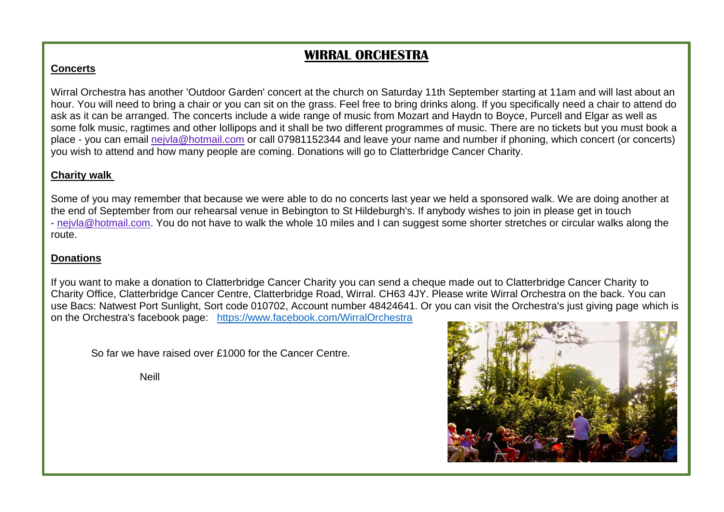# **WIRRAL ORCHESTRA**

#### **Concerts**

Wirral Orchestra has another 'Outdoor Garden' concert at the church on Saturday 11th September starting at 11am and will last about an hour. You will need to bring a chair or you can sit on the grass. Feel free to bring drinks along. If you specifically need a chair to attend do ask as it can be arranged. The concerts include a wide range of music from Mozart and Haydn to Boyce, Purcell and Elgar as well as some folk music, ragtimes and other lollipops and it shall be two different programmes of music. There are no tickets but you must book a place - you can email [nejvla@hotmail.com](mailto:nejvla@hotmail.com) or call 07981152344 and leave your name and number if phoning, which concert (or concerts) you wish to attend and how many people are coming. Donations will go to Clatterbridge Cancer Charity.

#### **Charity walk**

Some of you may remember that because we were able to do no concerts last year we held a sponsored walk. We are doing another at the end of September from our rehearsal venue in Bebington to St Hildeburgh's. If anybody wishes to join in please get in touch - [nejvla@hotmail.com.](mailto:nejvla@hotmail.com) You do not have to walk the whole 10 miles and I can suggest some shorter stretches or circular walks along the route.

#### **Donations**

If you want to make a donation to Clatterbridge Cancer Charity you can send a cheque made out to Clatterbridge Cancer Charity to Charity Office, Clatterbridge Cancer Centre, Clatterbridge Road, Wirral. CH63 4JY. Please write Wirral Orchestra on the back. You can use Bacs: Natwest Port Sunlight, Sort code 010702, Account number 48424641. Or you can visit the Orchestra's just giving page which is on the Orchestra's facebook page: <https://www.facebook.com/WirralOrchestra>

So far we have raised over £1000 for the Cancer Centre.

Neill

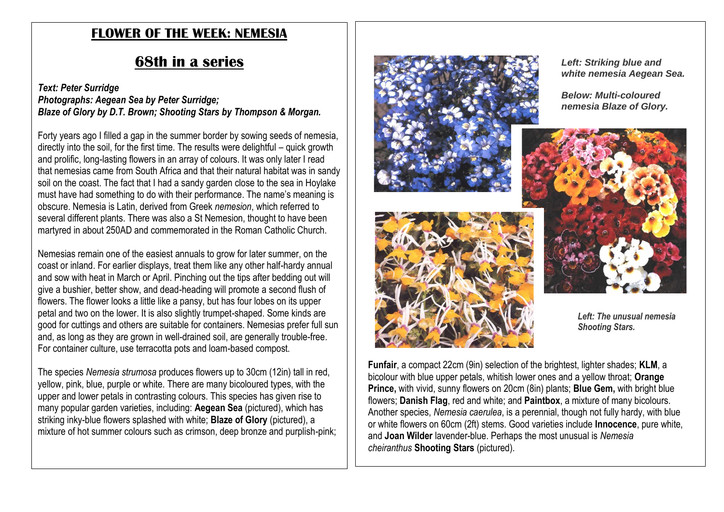## **FLOWER OF THE WEEK: NEMESIA**

# **68th in a series**

#### *Text: Peter Surridge Photographs: Aegean Sea by Peter Surridge; Blaze of Glory by D.T. Brown; Shooting Stars by Thompson & Morgan.*

Forty years ago I filled a gap in the summer border by sowing seeds of nemesia, directly into the soil, for the first time. The results were delightful – quick growth and prolific, long-lasting flowers in an array of colours. It was only later I read that nemesias came from South Africa and that their natural habitat was in sandy soil on the coast. The fact that I had a sandy garden close to the sea in Hoylake must have had something to do with their performance. The name's meaning is obscure. Nemesia is Latin, derived from Greek *nemesion*, which referred to several different plants. There was also a St Nemesion, thought to have been martyred in about 250AD and commemorated in the Roman Catholic Church.

Nemesias remain one of the easiest annuals to grow for later summer, on the coast or inland. For earlier displays, treat them like any other half-hardy annual and sow with heat in March or April. Pinching out the tips after bedding out will give a bushier, better show, and dead-heading will promote a second flush of flowers. The flower looks a little like a pansy, but has four lobes on its upper petal and two on the lower. It is also slightly trumpet-shaped. Some kinds are good for cuttings and others are suitable for containers. Nemesias prefer full sun and, as long as they are grown in well-drained soil, are generally trouble-free. For container culture, use terracotta pots and loam-based compost.

The species *Nemesia strumosa* produces flowers up to 30cm (12in) tall in red, yellow, pink, blue, purple or white. There are many bicoloured types, with the upper and lower petals in contrasting colours. This species has given rise to many popular garden varieties, including: **Aegean Sea** (pictured), which has striking inky-blue flowers splashed with white; **Blaze of Glory** (pictured), a mixture of hot summer colours such as crimson, deep bronze and purplish-pink;





*Left: Striking blue and white nemesia Aegean Sea.*

*Below: Multi-coloured nemesia Blaze of Glory.*



*Left: The unusual nemesia Shooting Stars.*

**Funfair**, a compact 22cm (9in) selection of the brightest, lighter shades; **KLM**, a bicolour with blue upper petals, whitish lower ones and a yellow throat; **Orange Prince,** with vivid, sunny flowers on 20cm (8in) plants; **Blue Gem,** with bright blue flowers; **Danish Flag**, red and white; and **Paintbox**, a mixture of many bicolours. Another species, *Nemesia caerulea*, is a perennial, though not fully hardy, with blue or white flowers on 60cm (2ft) stems. Good varieties include **Innocence**, pure white, and **Joan Wilder** lavender-blue. Perhaps the most unusual is *Nemesia cheiranthus* **Shooting Stars** (pictured).